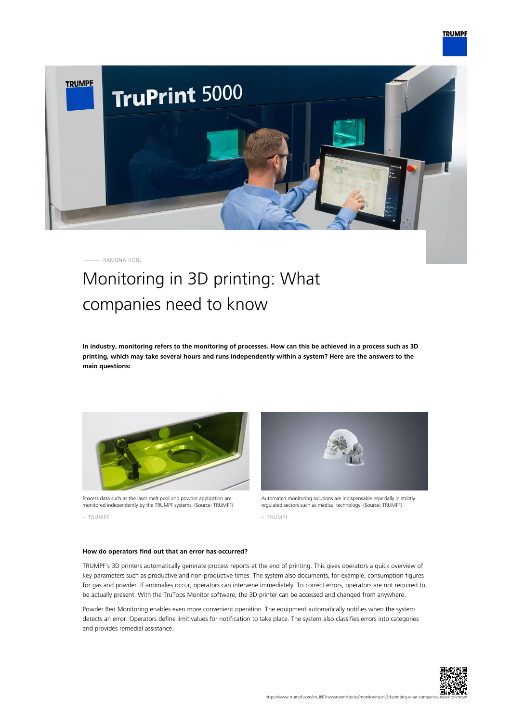

RAMONA HÖNL

## Monitoring in 3D printing: What companies need to know

**In industry, monitoring refers to the monitoring of processes. How can this be achieved in a process such as 3D printing, which may take several hours and runs independently within a system? Here are the answers to the main questions:**



Process data such as the laser melt pool and powder application are monitored independently by the TRUMPF systems. (Source: TRUMPF)

– TRUMPF



Automated monitoring solutions are indispensable especially in strictly regulated sectors such as medical technology. (Source: TRUMPF)

– TRUMPF

## **How do operators find out that an error has occurred?**

TRUMPF's 3D printers automatically generate process reports at the end of printing. This gives operators a quick overview of key parameters such as productive and non-productive times. The system also documents, for example, consumption figures for gas and powder. If anomalies occur, operators can intervene immediately. To correct errors, operators are not required to be actually present. With the TruTops Monitor software, the 3D printer can be accessed and changed from anywhere.

Powder Bed Monitoring enables even more convenient operation. The equipment automatically notifies when the system detects an error. Operators define limit values for notification to take place. The system also classifies errors into categories and provides remedial assistance.